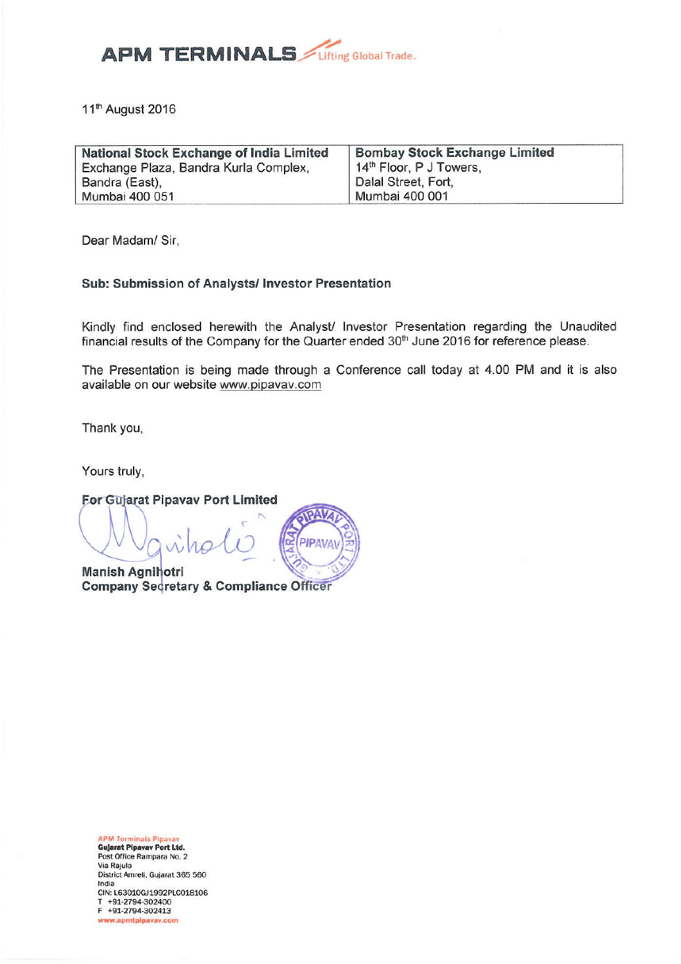

11<sup>th</sup> August 2016

| National Stock Exchange of India Limited | <b>Bombay Stock Exchange Limited</b> |  |
|------------------------------------------|--------------------------------------|--|
| Exchange Plaza, Bandra Kurla Complex,    | 14 <sup>th</sup> Floor, P J Towers,  |  |
| Bandra (East),                           | Dalal Street, Fort,                  |  |
| Mumbai 400 051                           | Mumbai 400 001                       |  |

Dear Madam/ Sir,

#### Sub: Submission of Analysts/ Investor Presentation

Kindly find enclosed herewith the Analyst/ Investor Presentation regarding the Unaudited financial results of the Company for the Quarter ended 30<sup>th</sup> June 2016 for reference please.

The Presentation is being made through a Conference call today at 4.00 PM and it is also available on our website www.pipavav.com

PIPAVAY

Thank you,

Yours truly,

For Gujarat Pipavav Port Limited

**Manish Agnihotri Company Secretary & Compliance Officer** 

**APM Terminals Pipavav Gujarat Pipavav Port Ltd.** Post Office Rampara No. 2 Via Raiula District Amreli, Gujarat 365 560 India CIN: L63010GJ1992PLC018106 T +91-2794-302400<br>F +91-2794-302413 www.apmtpipavav.com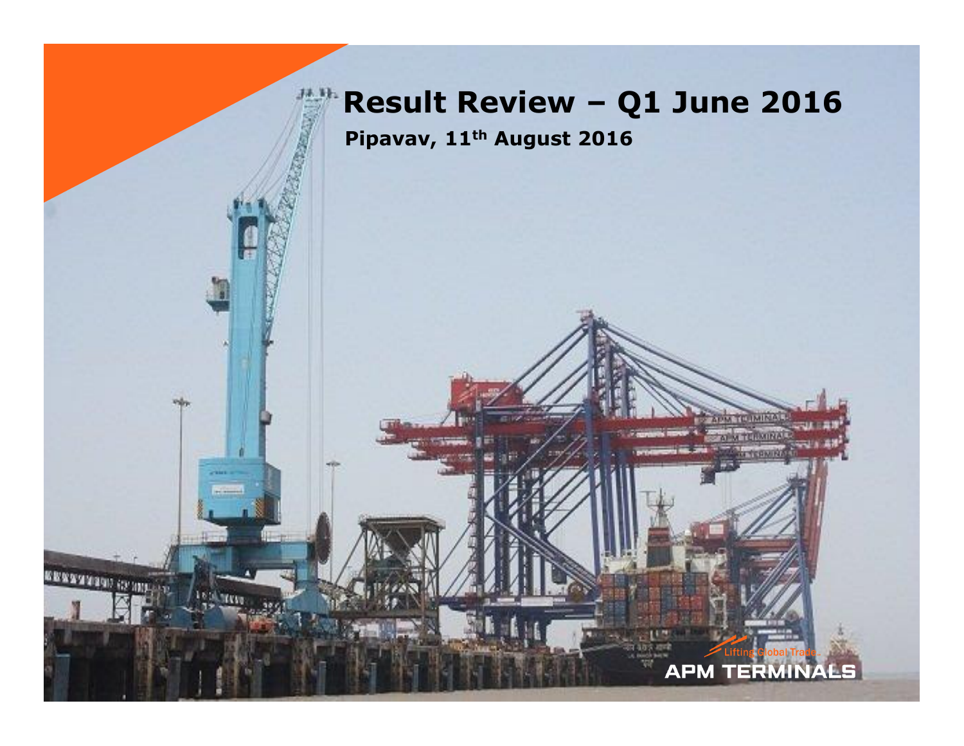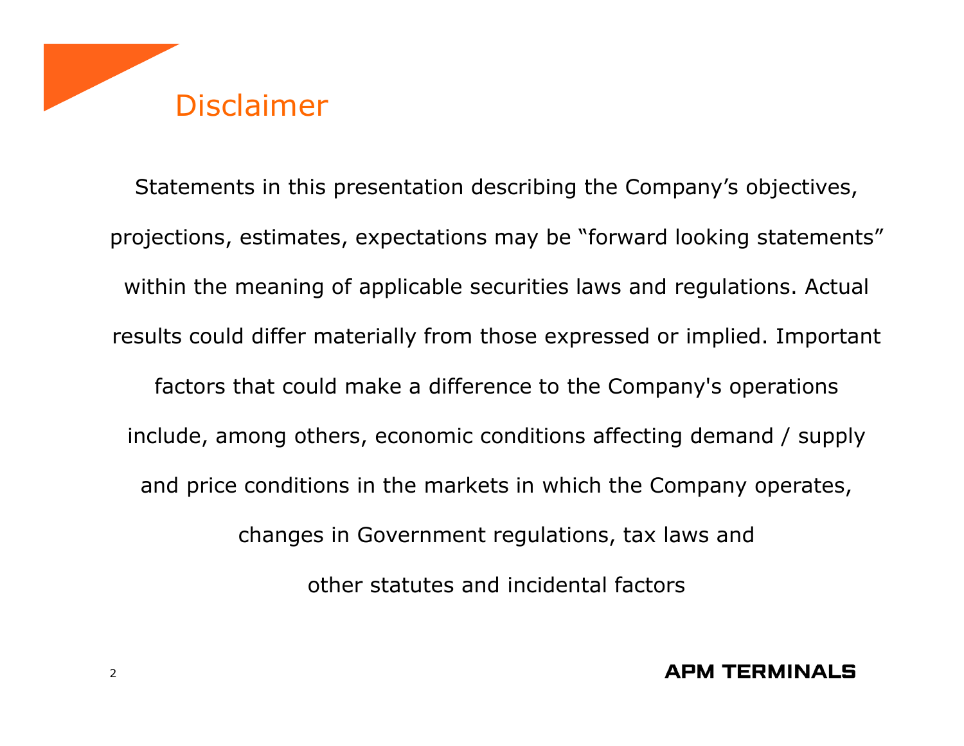

Statements in this presentation describing the Company's objectives, projections, estimates, expectations may be "forward looking statements" within the meaning of applicable securities laws and regulations. Actual results could differ materially from those expressed or implied. Important factors that could make a difference to the Company's operations include, among others, economic conditions affecting demand / supply and price conditions in the markets in which the Company operates, changes in Government regulations, tax laws and other statutes and incidental factors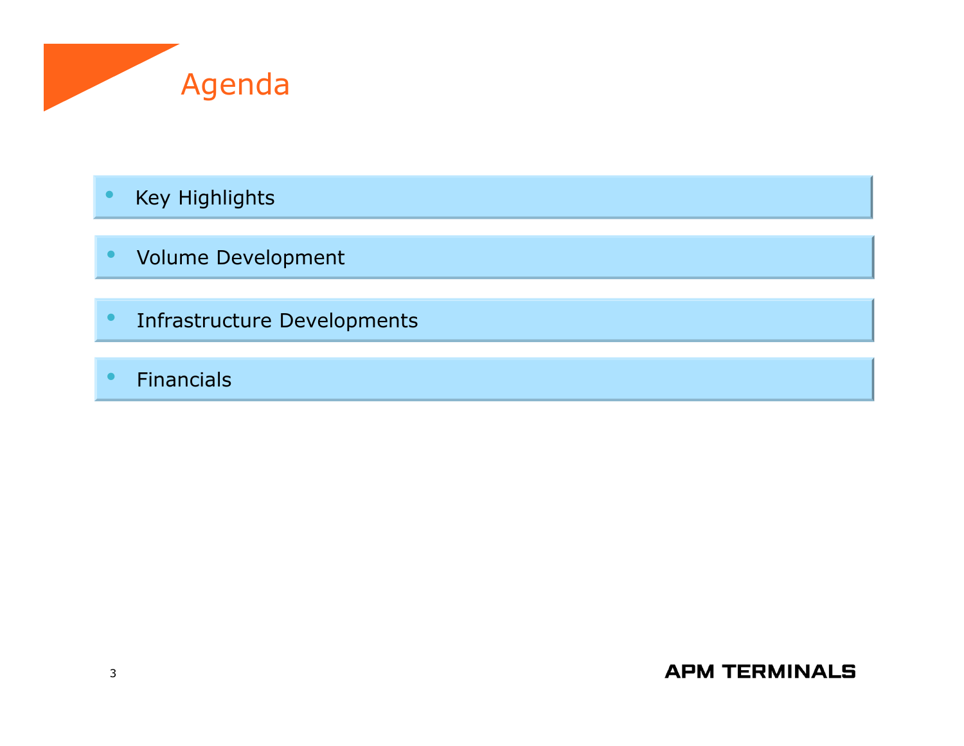

- •Key Highlights
- •Volume Development
- •Infrastructure Developments
- •Financials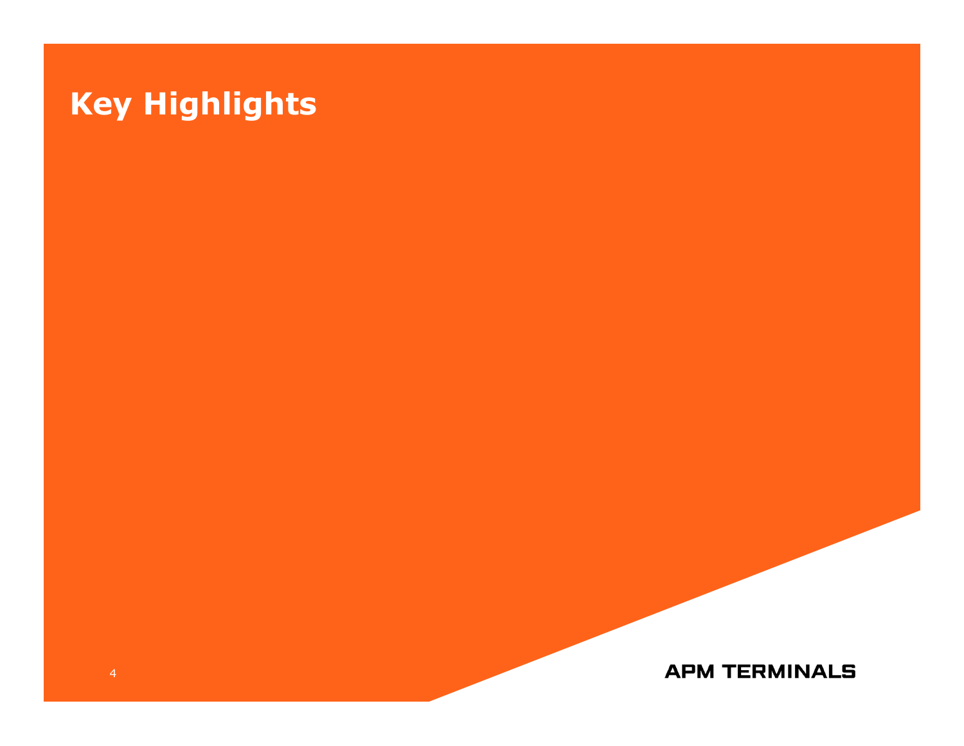# **Key Highlights**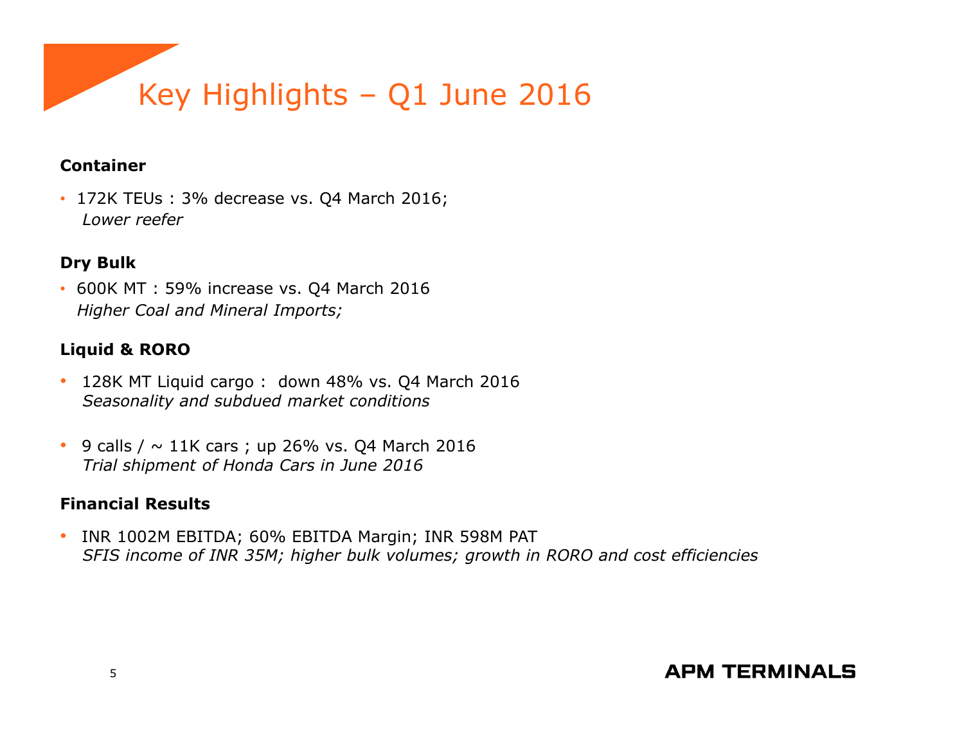

### **Container**

• 172K TEUs : 3% decrease vs. Q4 March 2016; *Lower reefer*

### **Dry Bulk**

• 600K MT : 59% increase vs. Q4 March 2016*Higher Coal and Mineral Imports;* 

### **Liquid & RORO**

- 128K MT Liquid cargo : down 48% vs. Q4 March 2016*Seasonality and subdued market conditions*
- 9 calls /  $\sim 11$ K cars ; up 26% vs. Q4 March 2016 *Trial shipment of Honda Cars in June 2016*

### **Financial Results**

• INR 1002M EBITDA; 60% EBITDA Margin; INR 598M PAT*SFIS income of INR 35M; higher bulk volumes; growth in RORO and cost efficiencies*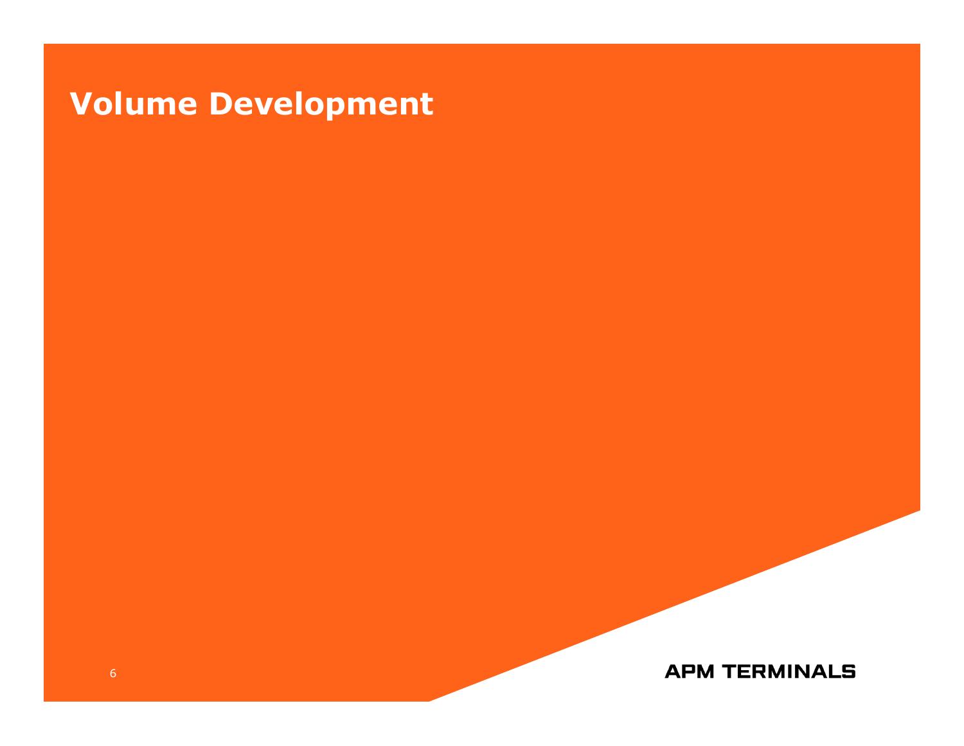# **Volume Development**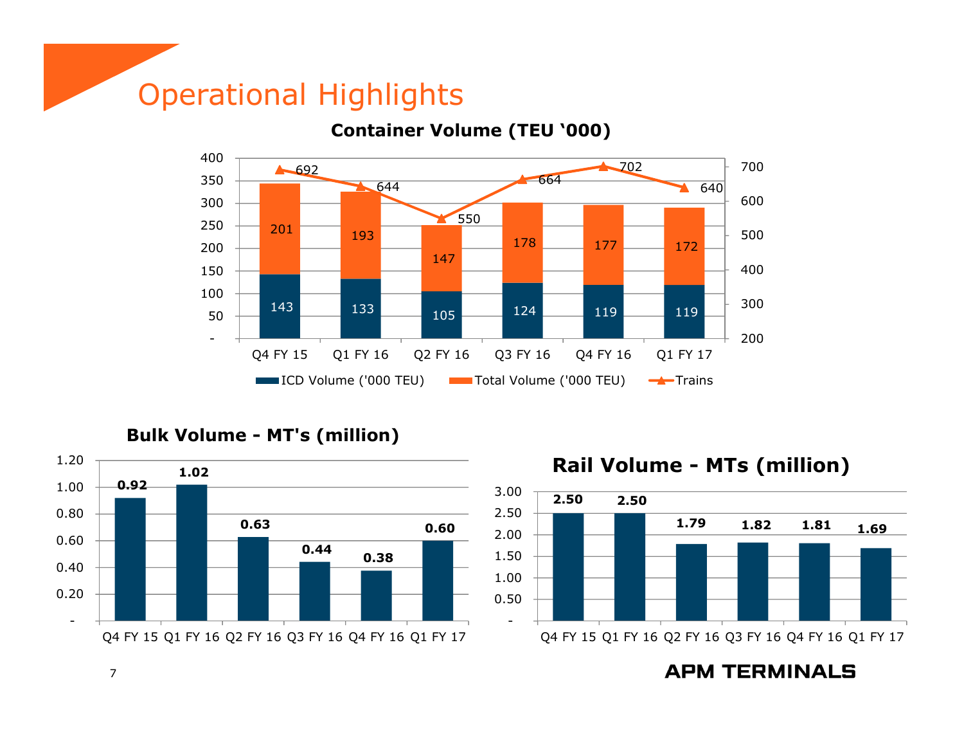## Operational Highlights



**Container Volume (TEU '000)**

**Bulk Volume - MT's (million)**



**Rail Volume - MTs (million)**

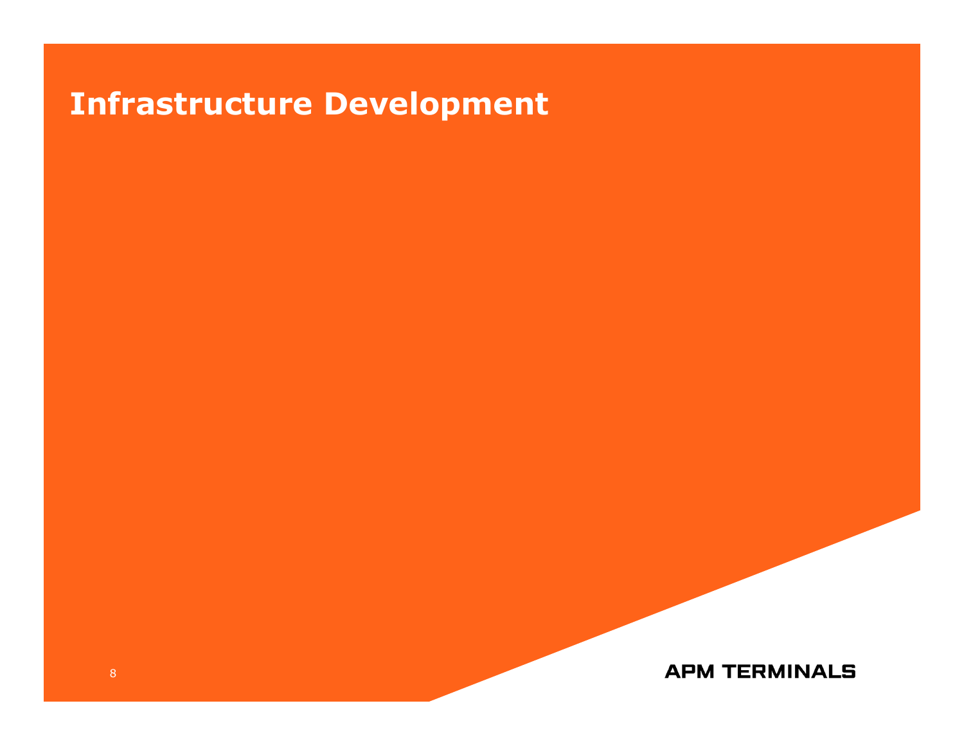# **Infrastructure Development**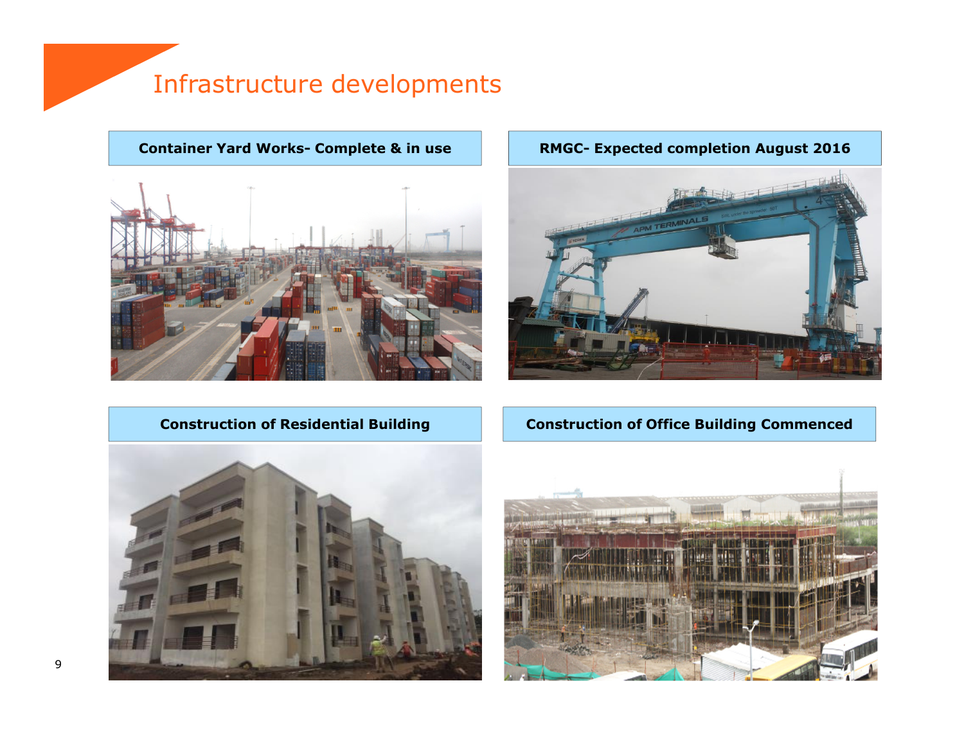## Infrastructure developments

**Container Yard Works- Complete & in use**

#### **RMGC- Expected completion August 2016**



### **Construction of Residential Building**

**Construction of Office Building Commenced**



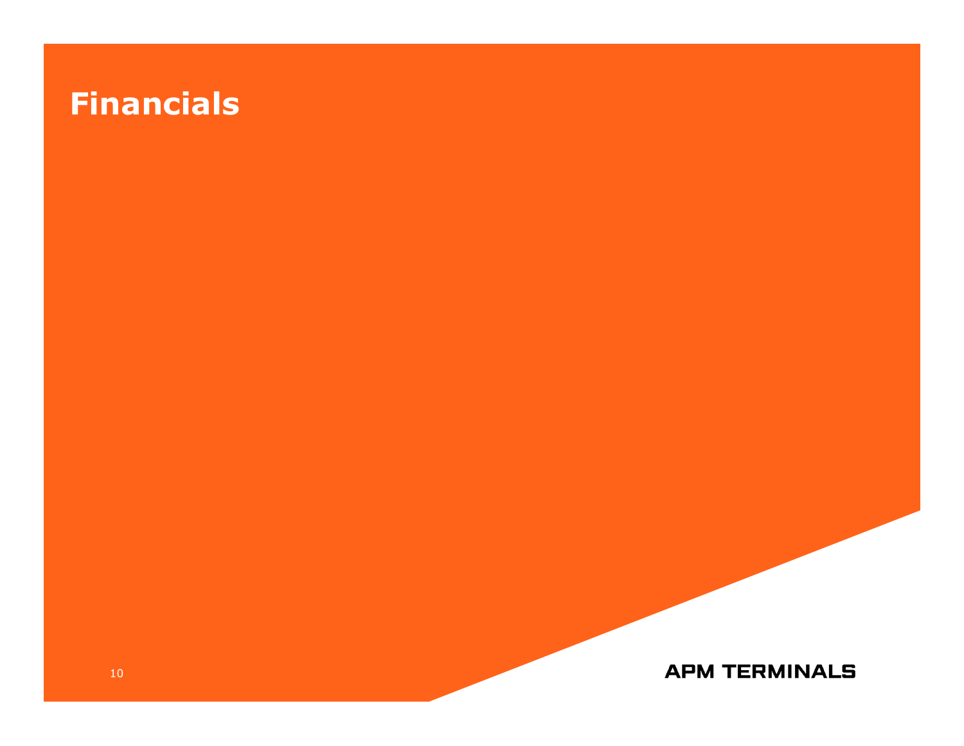# **Financials**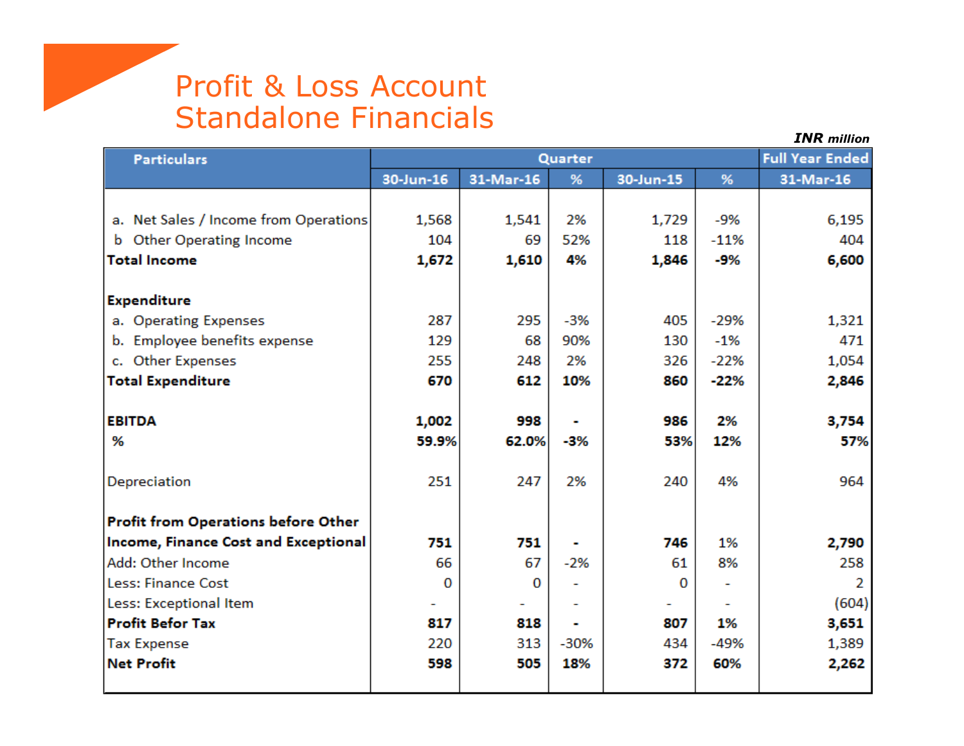## Profit & Loss AccountStandalone Financials

| <b>Particulars</b>                         |           | <b>Full Year Ended</b> |        |           |        |           |
|--------------------------------------------|-----------|------------------------|--------|-----------|--------|-----------|
|                                            | 30-Jun-16 | 31-Mar-16              | %      | 30-Jun-15 | %      | 31-Mar-16 |
|                                            |           |                        |        |           |        |           |
| a. Net Sales / Income from Operations      | 1,568     | 1,541                  | 2%     | 1,729     | -9%    | 6,195     |
| <b>Other Operating Income</b><br>b         | 104       | 69                     | 52%    | 118       | $-11%$ | 404       |
| <b>Total Income</b>                        | 1,672     | 1,610                  | 4%     | 1,846     | -9%    | 6,600     |
|                                            |           |                        |        |           |        |           |
| <b>Expenditure</b>                         |           |                        |        |           |        |           |
| a. Operating Expenses                      | 287       | 295                    | $-3%$  | 405       | $-29%$ | 1,321     |
| b. Employee benefits expense               | 129       | 68                     | 90%    | 130       | $-1%$  | 471       |
| <b>Other Expenses</b><br>c.                | 255       | 248                    | 2%     | 326       | $-22%$ | 1,054     |
| <b>Total Expenditure</b>                   | 670       | 612                    | 10%    | 860       | $-22%$ | 2,846     |
|                                            |           |                        |        |           |        |           |
| <b>EBITDA</b>                              | 1,002     | 998                    |        | 986       | 2%     | 3,754     |
| %                                          | 59.9%     | 62.0%                  | -3%    | 53%       | 12%    | 57%       |
|                                            |           |                        |        |           |        |           |
| Depreciation                               | 251       | 247                    | 2%     | 240       | 4%     | 964       |
|                                            |           |                        |        |           |        |           |
| <b>Profit from Operations before Other</b> |           |                        |        |           |        |           |
| Income, Finance Cost and Exceptional       | 751       | 751                    |        | 746       | 1%     | 2,790     |
| Add: Other Income                          | 66        | 67                     | $-2%$  | 61        | 8%     | 258       |
| Less: Finance Cost                         | 0         | 0                      |        | 0         |        | 2         |
| Less: Exceptional Item                     |           |                        |        |           |        | (604)     |
| <b>Profit Befor Tax</b>                    | 817       | 818                    |        | 807       | 1%     | 3,651     |
| <b>Tax Expense</b>                         | 220       | 313                    | $-30%$ | 434       | $-49%$ | 1,389     |
| <b>Net Profit</b>                          | 598       | 505                    | 18%    | 372       | 60%    | 2,262     |
|                                            |           |                        |        |           |        |           |

*INR million*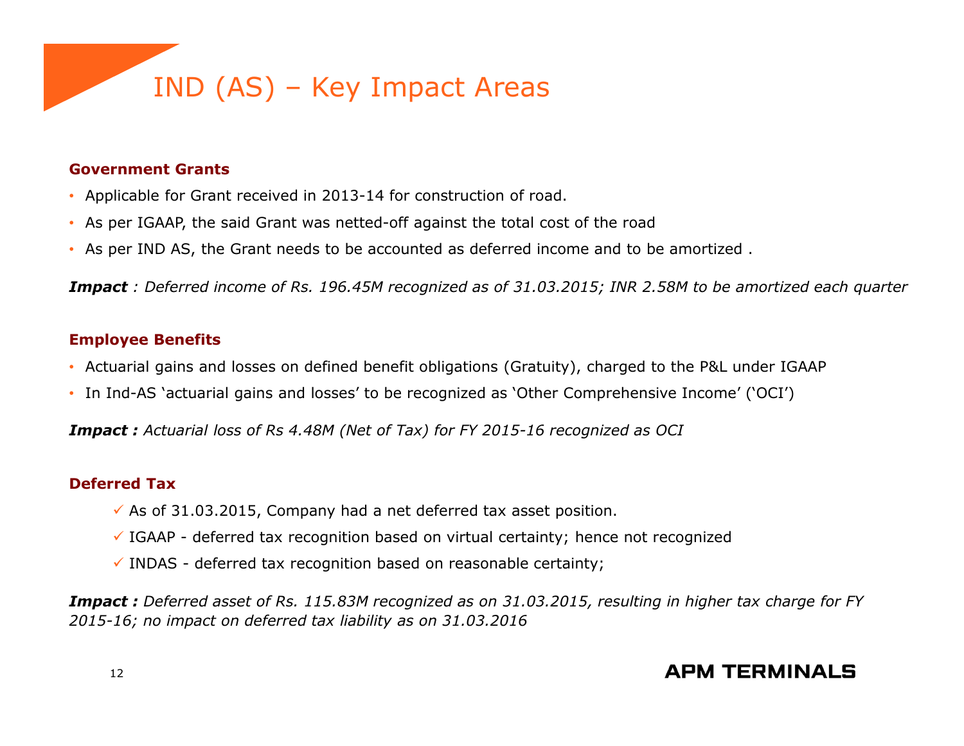

#### **Government Grants**

- Applicable for Grant received in 2013-14 for construction of road.
- As per IGAAP, the said Grant was netted-off against the total cost of the road
- As per IND AS, the Grant needs to be accounted as deferred income and to be amortized .

*Impact : Deferred income of Rs. 196.45M recognized as of 31.03.2015; INR 2.58M to be amortized each quarter*

#### **Employee Benefits**

- Actuarial gains and losses on defined benefit obligations (Gratuity), charged to the P&L under IGAAP
- In Ind-AS 'actuarial gains and losses' to be recognized as 'Other Comprehensive Income' ('OCI')

*Impact : Actuarial loss of Rs 4.48M (Net of Tax) for FY 2015-16 recognized as OCI*

#### **Deferred Tax**

- $\checkmark$  As of 31.03.2015, Company had a net deferred tax asset position.
- $\checkmark$  IGAAP deferred tax recognition based on virtual certainty; hence not recognized
- $\checkmark$  INDAS deferred tax recognition based on reasonable certainty;

*Impact : Deferred asset of Rs. 115.83M recognized as on 31.03.2015, resulting in higher tax charge for FY 2015-16; no impact on deferred tax liability as on 31.03.2016*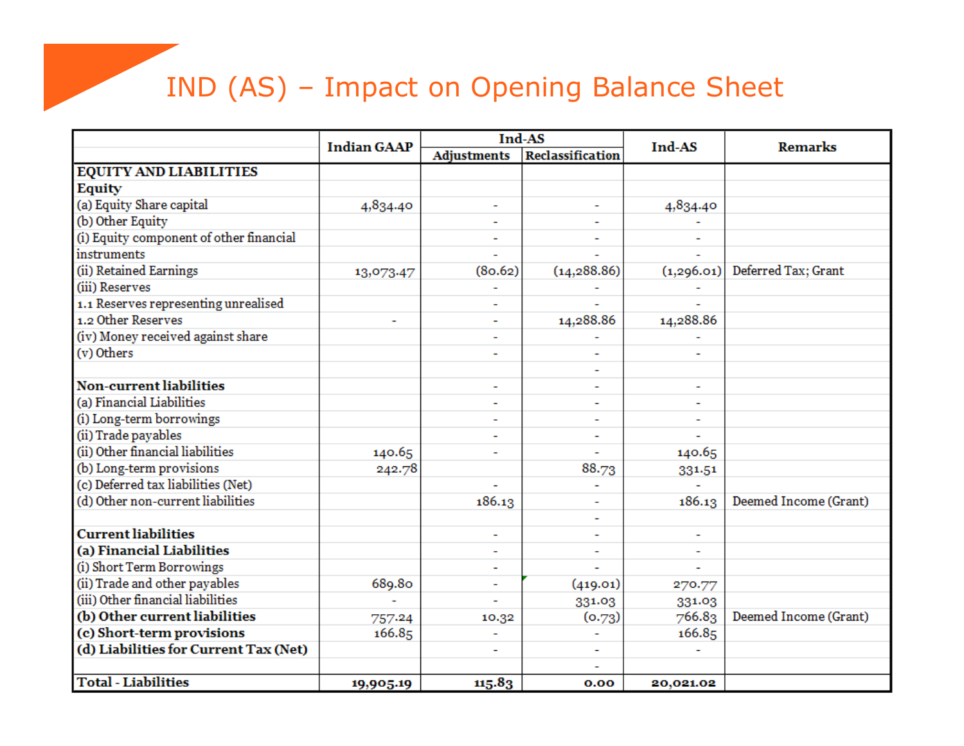# IND (AS) – Impact on Opening Balance Sheet

|                                         | <b>Indian GAAP</b> | Ind-AS             |                         | Ind-AS     | <b>Remarks</b>        |  |
|-----------------------------------------|--------------------|--------------------|-------------------------|------------|-----------------------|--|
|                                         |                    | <b>Adjustments</b> | <b>Reclassification</b> |            |                       |  |
| <b>EQUITY AND LIABILITIES</b>           |                    |                    |                         |            |                       |  |
| Equity                                  |                    |                    |                         |            |                       |  |
| (a) Equity Share capital                | 4,834.40           |                    |                         | 4,834.40   |                       |  |
| (b) Other Equity                        |                    |                    |                         |            |                       |  |
| (i) Equity component of other financial |                    |                    |                         |            |                       |  |
| instruments                             |                    |                    |                         |            |                       |  |
| (ii) Retained Earnings                  | 13,073.47          | (80.62)            | (14, 288.86)            | (1,296.01) | Deferred Tax; Grant   |  |
| (iii) Reserves                          |                    |                    |                         |            |                       |  |
| 1.1 Reserves representing unrealised    |                    |                    |                         |            |                       |  |
| 1.2 Other Reserves                      | ۰                  |                    | 14,288.86               | 14,288.86  |                       |  |
| (iv) Money received against share       |                    |                    |                         |            |                       |  |
| (v) Others                              |                    |                    |                         |            |                       |  |
|                                         |                    |                    |                         |            |                       |  |
| <b>Non-current liabilities</b>          |                    |                    |                         |            |                       |  |
| (a) Financial Liabilities               |                    |                    |                         | L,         |                       |  |
| (i) Long-term borrowings                |                    |                    |                         |            |                       |  |
| (ii) Trade payables                     |                    |                    |                         |            |                       |  |
| (ii) Other financial liabilities        | 140.65             |                    |                         | 140.65     |                       |  |
| (b) Long-term provisions                | 242.78             |                    | 88.73                   | 331.51     |                       |  |
| (c) Deferred tax liabilities (Net)      |                    |                    |                         |            |                       |  |
| (d) Other non-current liabilities       |                    | 186.13             |                         | 186.13     | Deemed Income (Grant) |  |
|                                         |                    |                    |                         |            |                       |  |
| <b>Current liabilities</b>              |                    |                    |                         |            |                       |  |
| (a) Financial Liabilities               |                    |                    |                         |            |                       |  |
| (i) Short Term Borrowings               |                    |                    |                         |            |                       |  |
| (ii) Trade and other payables           | 689.80             |                    | (419.01)                | 270.77     |                       |  |
| (iii) Other financial liabilities       |                    |                    | 331.03                  | 331.03     |                       |  |
| (b) Other current liabilities           | 757.24             | 10.32              | (0.73)                  | 766.83     | Deemed Income (Grant) |  |
| (c) Short-term provisions               | 166.85             |                    |                         | 166.85     |                       |  |
| (d) Liabilities for Current Tax (Net)   |                    |                    |                         |            |                       |  |
|                                         |                    |                    |                         |            |                       |  |
| <b>Total - Liabilities</b>              | 19,905.19          | 115.83             | 0.00                    | 20,021.02  |                       |  |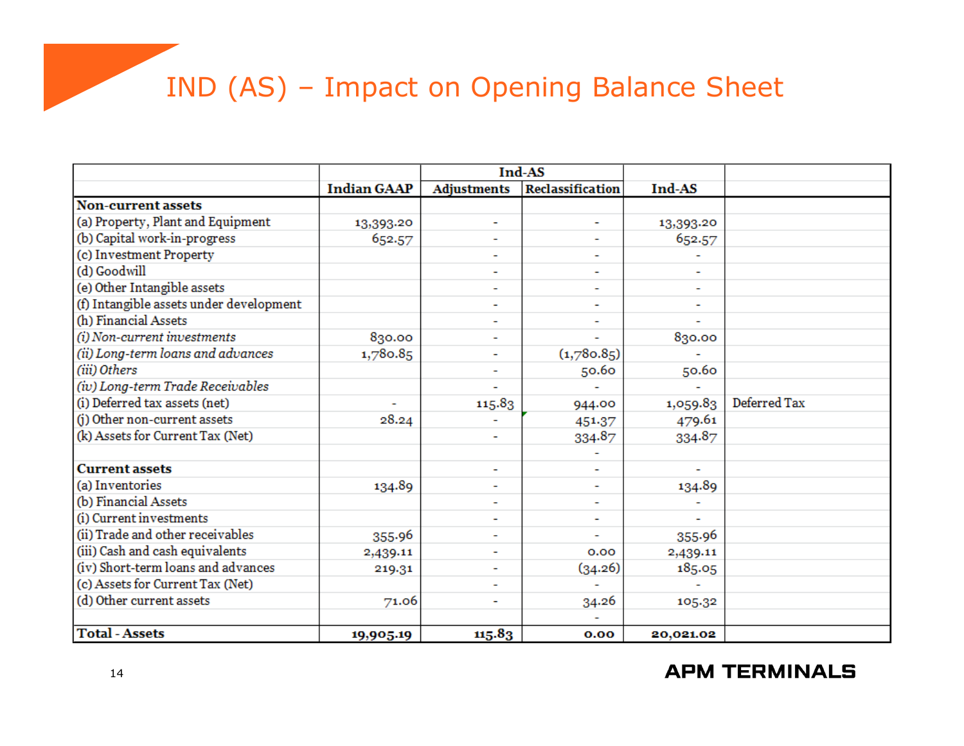# IND (AS) – Impact on Opening Balance Sheet

|                                         |                    | Ind-AS             |                         |           |              |
|-----------------------------------------|--------------------|--------------------|-------------------------|-----------|--------------|
|                                         | <b>Indian GAAP</b> | <b>Adjustments</b> | <b>Reclassification</b> | Ind-AS    |              |
| <b>Non-current assets</b>               |                    |                    |                         |           |              |
| (a) Property, Plant and Equipment       | 13,393.20          | ۰                  | ۰                       | 13,393.20 |              |
| (b) Capital work-in-progress            | 652.57             |                    | ۰                       | 652.57    |              |
| (c) Investment Property                 |                    | ۰                  | ۰                       |           |              |
| (d) Goodwill                            |                    |                    | ۰                       |           |              |
| (e) Other Intangible assets             |                    |                    | ۰                       |           |              |
| (f) Intangible assets under development |                    | ۰                  | ۰                       | ۰         |              |
| (h) Financial Assets                    |                    |                    |                         |           |              |
| (i) Non-current investments             | 830.00             |                    |                         | 830.00    |              |
| (ii) Long-term loans and advances       | 1,780.85           |                    | (1,780.85)              |           |              |
| (iii) Others                            |                    | ٠                  | 50.60                   | 50.60     |              |
| (iv) Long-term Trade Receivables        |                    |                    |                         |           |              |
| (i) Deferred tax assets (net)           | ۰                  | 115.83             | 944.00                  | 1,059.83  | Deferred Tax |
| (j) Other non-current assets            | 28.24              |                    | 451.37                  | 479.61    |              |
| (k) Assets for Current Tax (Net)        |                    | ٠                  | 334.87                  | 334.87    |              |
|                                         |                    |                    |                         |           |              |
| <b>Current assets</b>                   |                    | ۰                  |                         |           |              |
| (a) Inventories                         | 134.89             |                    | ۰                       | 134.89    |              |
| (b) Financial Assets                    |                    |                    |                         |           |              |
| (i) Current investments                 |                    |                    | ۰                       |           |              |
| (ii) Trade and other receivables        | 355.96             |                    |                         | 355.96    |              |
| (iii) Cash and cash equivalents         | 2,439.11           |                    | 0.00                    | 2,439.11  |              |
| (iv) Short-term loans and advances      | 219.31             |                    | (34.26)                 | 185.05    |              |
| (c) Assets for Current Tax (Net)        |                    |                    |                         |           |              |
| (d) Other current assets                | 71.06              | ۰                  | 34.26                   | 105.32    |              |
|                                         |                    |                    |                         |           |              |
| <b>Total - Assets</b>                   | 19,905.19          | 115.83             | 0.00                    | 20,021.02 |              |